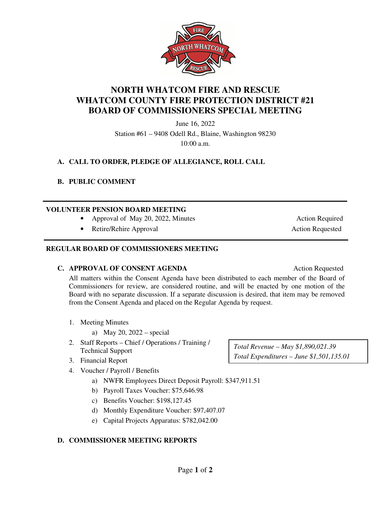

**NORTH WHATCOM FIRE AND RESCUE WHATCOM COUNTY FIRE PROTECTION DISTRICT #21 BOARD OF COMMISSIONERS SPECIAL MEETING** 

> June 16, 2022 Station #61 – 9408 Odell Rd., Blaine, Washington 98230 10:00 a.m.

## **A. CALL TO ORDER, PLEDGE OF ALLEGIANCE, ROLL CALL**

#### **B. PUBLIC COMMENT**

l

#### **VOLUNTEER PENSION BOARD MEETING**

- Approval of May 20, 2022, Minutes Action Required
- Retire/Rehire Approval **Action Requested** Action Requested

#### **REGULAR BOARD OF COMMISSIONERS MEETING**

#### **C. APPROVAL OF CONSENT AGENDA** Action Requested

All matters within the Consent Agenda have been distributed to each member of the Board of Commissioners for review, are considered routine, and will be enacted by one motion of the Board with no separate discussion. If a separate discussion is desired, that item may be removed from the Consent Agenda and placed on the Regular Agenda by request.

- 1. Meeting Minutes
	- a) May 20, 2022 special
- 2. Staff Reports Chief / Operations / Training / Technical Support
- 3. Financial Report
- 4. Voucher / Payroll / Benefits
	- a) NWFR Employees Direct Deposit Payroll: \$347,911.51
	- b) Payroll Taxes Voucher: \$75,646.98
	- c) Benefits Voucher: \$198,127.45
	- d) Monthly Expenditure Voucher: \$97,407.07
	- e) Capital Projects Apparatus: \$782,042.00

#### **D. COMMISSIONER MEETING REPORTS**

*Total Revenue – May \$1,890,021.39 Total Expenditures – June \$1,501,135.01*